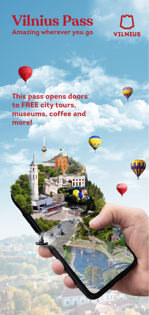## **Vilnius Pass Amazing wherever you go**



**This pass opens doors to FREE city tours, museums, coffee and more!**

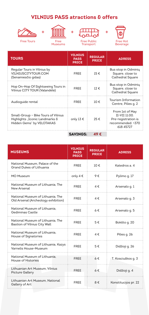## **VILNIUS PASS atractions & offers**







Free Museums Free Public Transport



| <b>TOURS</b>                                                                                       | <b>VILNIUS</b><br><b>PASS</b><br><b>PRICE</b> | <b>REGULAR</b><br><b>PRICE</b> | <b>ADRESS</b>                                                                             |
|----------------------------------------------------------------------------------------------------|-----------------------------------------------|--------------------------------|-------------------------------------------------------------------------------------------|
| Regular Tours in Vilnius by<br>VILNIUSCITYTOUR.COM<br>(Senamiesčio gidas)                          | <b>FREE</b>                                   | $15 \notin$                    | Bus stop in Odminių<br>Square, close to<br>Cathedral Square                               |
| Hop On-Hop Of Sightseeing Tours in<br>Vilnius CITY TOUR (Valandėlė)                                | <b>FRFF</b>                                   | $12 \notin$                    | Bus stop in Odminių<br>Square, close to<br>Cathedral Square                               |
| Audioquide rental                                                                                  | <b>FREE</b>                                   | 10 f                           | <b>Tourism Information</b><br>Centre, Pilies q. 2                                         |
| Small-Group - Bike Tours of Vilnius<br>Highlights "Iconic Landmarks &<br>Hidden Gems" by VELOTAKAS | only 13 €                                     | 25€                            | From 1st of May<br>II-VII 11:00.<br>Pre-registration is<br>recommended: +370<br>618 45727 |
|                                                                                                    | <b>SAVINGS:</b>                               | 49 €                           |                                                                                           |

| <b>MUSEUMS</b>                                                           | <b>VILNIUS</b><br><b>PASS</b><br><b>PRICE</b> | <b>REGULAR</b><br><b>PRICE</b> | <b>ADRESS</b>        |
|--------------------------------------------------------------------------|-----------------------------------------------|--------------------------------|----------------------|
| National Museum, Palace of the<br>Grand Dukes of Lithuania               | FREE                                          | $10 \in$                       | Katedros a. 4        |
| MO Museum                                                                | only $4 \in$                                  | 9€                             | Pylimo g. 17         |
| National Museum of Lithuania. The<br>New Arsenal                         | FREE                                          | 4€                             | Arsenalo q. 1        |
| National Museum of Lithuania, The<br>Old Arsenal (Archeology exhibition) | FREE                                          | 4€                             | Arsenalo q. 3        |
| National Museum of Lithuania.<br>Gediminas Castle                        | FREE                                          | $6 \in$                        | Arsenalo q. 5        |
| National Museum of Lithuania. The<br>Bastion of Vilnius City Wall        | <b>FREE</b>                                   | 5€                             | Bokšto g. 20         |
| National Museum of Lithuania.<br>House of Signatories                    | <b>FRFF</b>                                   | $4 \in$                        | Pilies q. 26         |
| National Museum of Lithuania, Kazys<br>Varnelis House-Museum             | <b>FREE</b>                                   | 5€                             | Didžioji g. 26       |
| National Museum of Lithuania.<br>House of Histories                      | <b>FREE</b>                                   | $6 \in$                        | T. Kosciuškos g. 3   |
| Lithuanian Art Museum, Vilnius<br>Picture Gallery                        | FREE                                          | $6 \in$                        | Didžioji g. 4        |
| Lithuanian Art Museum, National<br>Gallery of Art                        | <b>FREE</b>                                   | 8€                             | Konstitucijos pr. 22 |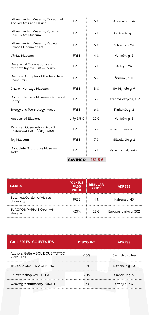|                                                             | <b>SAVINGS:</b> | 151.5€   |                         |
|-------------------------------------------------------------|-----------------|----------|-------------------------|
| Chocolate Sculptures Museum in<br>Trakai                    | <b>FREE</b>     | 5€       | Vytauto g. 4, Trakai    |
| <b>Toy Museum</b>                                           | FREE            | 7€       | Šiltadaržio g. 2        |
| TV Tower, Observation Deck δ<br>Restaurant PAUKŠČIŲ TAKAS   | <b>FREE</b>     | 12€      | Sausio 13-osios q. 10   |
| Museum of Illusions                                         | only 5,5 €      | $12 \in$ | Vokiečių g. 8           |
| Energy and Technology Museum                                | FREE            | 6€       | Rinktinės g. 2          |
| Church Heritage Museum, Cathedral<br>Belfry                 | FREE            | 5€       | Katedros varpinė, a. 2, |
| Church Heritage Museum                                      | <b>FREE</b>     | 8€       | Šv. Mykolo q. 9         |
| Memorial Complex of the Tuskulenai<br>Peace Park            | FREE            | 6€       | Žirmūnų g. 1F           |
| Museum of Occupations and<br>freedom fights (KGB museum)    | FREE            | 5€       | Aukų g. 2A              |
| <b>Vilnius Museum</b>                                       | FREE            | 4€       | Vokiečių g. 6           |
| Lithuanian Art Museum. Radvila<br>Palace Museum of Art      | FREE            | $6 \in$  | Vilniaus q. 24          |
| Lithuanian Art Museum, Vytautas<br>Kasiulis Art Museum      | FREE            | 5€       | Goštauto q. 1           |
| Lithuanian Art Museum, Museum of<br>Applied Arts and Design | <b>FREE</b>     | $6 \in$  | Arsenalo q. 3A          |

| <b>PARKS</b>                              | <b>VILNIUS</b><br><b>PASS</b><br><b>PRICE</b> | <b>REGULAR</b><br><b>PRICE</b> | <b>ADRESS</b>        |
|-------------------------------------------|-----------------------------------------------|--------------------------------|----------------------|
| Botanical Garden of Vilnius<br>University | <b>FREE</b>                                   | $4 \in$                        | Kairėnų g. 43        |
| <b>EUROPOS PARKAS Open-Air</b><br>Museum  | $-20%$                                        | $12 \notin$                    | Europos parko q. 302 |

| <b>GALLERIES, SOUVENIRS</b>                   | <b>DISCOUNT</b> | <b>ADRESS</b>    |
|-----------------------------------------------|-----------------|------------------|
| Authors' Gallery BOUTIQUE TATTOO<br>PRIVILEGE | $-10%$          | Jasinskio q. 16a |
| THE OLD CRAFTS WORKSHOP                       | $-10%$          | Savičiaus q. 10  |
| Souvenir shop AMBERTEA                        | $-20%$          | Savičiaus q. 9   |
| Weaving Manufactory JURATE                    | $-15%$          | Didžioji g. 20/1 |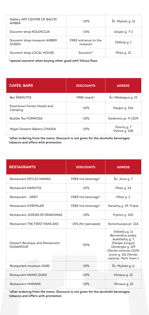| Gallery ART CENTRE OF BALTIC<br>AMRFR | $-10%$                                | Šv. Mykolo g. 12 |
|---------------------------------------|---------------------------------------|------------------|
| Souvenir shop KOLEKCIJA               | $-15%$                                | Užupio g. 7-2    |
| Souvenir shop-museum AMBER<br>OUFFN   | <b>ERFF</b> entrance to the<br>museum | Didžioji g. 1    |
| Souvenir shop LOCAL HOUSE             | Souvenir*                             | Pilies q. 22     |

\*special souvenir when buying other good with Vilnius Pass

| <b>CAFÉS. BARS</b>                    | <b>DISCOUNTS</b> | <b>ADRESS</b>                 |
|---------------------------------------|------------------|-------------------------------|
| Bar ŠNEKUTIS                          | FREE snack*      | Šv. Mikalojaus q. 15          |
| Downtown Forest Hostel and<br>Camping | $-10%$           | Paupio q. 31A                 |
| <b>Bubble Tea FORMOSA</b>             | $-10%$           | Gedimino pr. 9, GO9           |
| Vegan Dessert Bakery CHAIKA           | $-10%$           | Totorių g. 7<br>Pylimo q. 21B |

\*after ordering from the menu. Discount is not given for the alcoholic beverages, tobacco and offers with promotion

| <b>RESTAURANTS</b>                                 | <b>DISCOUNTS</b>    | <b>ADRESS</b>                                                                                                                                                        |
|----------------------------------------------------|---------------------|----------------------------------------------------------------------------------------------------------------------------------------------------------------------|
| Restaurant ERTLIO NAMAS                            | FREE hot beverage*  | Šv. Jono g. 7                                                                                                                                                        |
| <b>Restaurant NARUTIS</b>                          | $-10%$              | Pilies q. 24                                                                                                                                                         |
| Restaurant  GREY                                   | FREE hot beverage*  | Pilies q. 2                                                                                                                                                          |
| <b>Restaurant KYBYNLAR</b>                         | FREE hot beverage*  | Karaimų g. 29, Trakai                                                                                                                                                |
| Restaurant JURGIS IR DRAKONAS                      | $-15%$              | Pylimo q. 22D                                                                                                                                                        |
| Restaurant THE FIRST PANCAKE                       | -15% (for pancakes) | Konstitucijos pr. 12A                                                                                                                                                |
| Dessert Boutique and Restaurant<br><b>SUGAMOUR</b> | $-20%$              | Vokiečių g. 11<br>Bernardinu sodas<br>Aukštaičių g. 7<br>(Paupio turqus)<br>Ukmergės g. 219<br>(Verslo centras U219)<br>Lvovo g. 101 (Verslo<br>centras "Park Town") |
| Restaurant-museum GABI                             | $-10%$              | Šv. Mykolo q. 6                                                                                                                                                      |
| Restaurant MANO GURU                               | $-10%$              | Vilniaus q. 22                                                                                                                                                       |
| <b>Restaurant MANAMI</b>                           | $-10%$              | Vilniaus q. 10                                                                                                                                                       |

\*after ordering from the menu. Discount is not given for the alcoholic beverages, tobacco and offers with promotion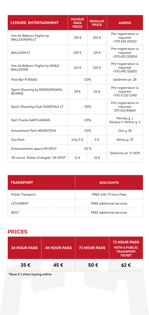| <b>LEISURE, ENTERTAINMENT</b>                       | <b>VILNIUS</b><br><b>REGULAR</b><br><b>PASS</b><br><b>PRICE</b><br><b>PRICE</b> |      | <b>ADRESS</b>                                       |
|-----------------------------------------------------|---------------------------------------------------------------------------------|------|-----------------------------------------------------|
| Hot Air Balloon Flights by<br>BALLOONING.LT         | 135€                                                                            | 150€ | Pre-registration is<br>required:<br>+370 652 00510  |
| <b>BALLOON.LT</b>                                   | 109€<br>$119 \in$                                                               |      | Pre-registration is<br>required:<br>+370 652 00004  |
| Hot Air Balloon Flights by SMILE<br><b>BALLOONS</b> | $110 \in$                                                                       | 120€ | Pre-registration is<br>required:<br>+370 690 55500  |
| Pool Bar FUKSAS                                     | $-20%$                                                                          |      | Gedimino pr. 28                                     |
| Sport Shooting by EKSKOMISARŲ<br><b>BIURAS</b>      | 29€                                                                             | 52€  | Pre-registration is<br>required:<br>+370 5 210 2340 |
| Sport Shooting Club GUNSTALK.LT                     | $-20%$                                                                          |      | Pre-registration is<br>required:<br>370 614 85664   |
| Kart Tracks KARTLANDAS                              | $-20%$                                                                          |      | Parody q. 1<br>Dariaus ir Girėno g. 2               |
| Amusement Park ADVENTICA                            | $-20%$                                                                          |      | Ozo q. 18                                           |
| Zoo Park                                            | only 5 €                                                                        | 9€   | Verkių g. 27                                        |
| Entertainment space VR SPOT                         | $-25%$                                                                          |      |                                                     |
| 3D movie "Paths of Angels" VR SPOT                  | 12€                                                                             | 15€  | Gedimino pr. 9, GO9                                 |

| <b>TRANSPORT</b> | <b>DISCOUNTS</b>                |
|------------------|---------------------------------|
| Public Transport | FREE with 72 hour Pass          |
| LITCARENT        | <b>FREE additional services</b> |
| <b>BOLT</b>      | FREE additional services        |

## **PRICES**

| <b>24 HOUR PASS</b> | <b>48 HOUR PASS</b> | <b>72 HOUR PASS</b> | <b>72 HOUR PASS</b><br><b>WITH A PUBLIC</b><br><b>TRANSPORT</b><br><b>TICKET</b> |
|---------------------|---------------------|---------------------|----------------------------------------------------------------------------------|
| 35€                 | 45€                 | 50€                 | 62E                                                                              |

\*Save € 1 when buying online